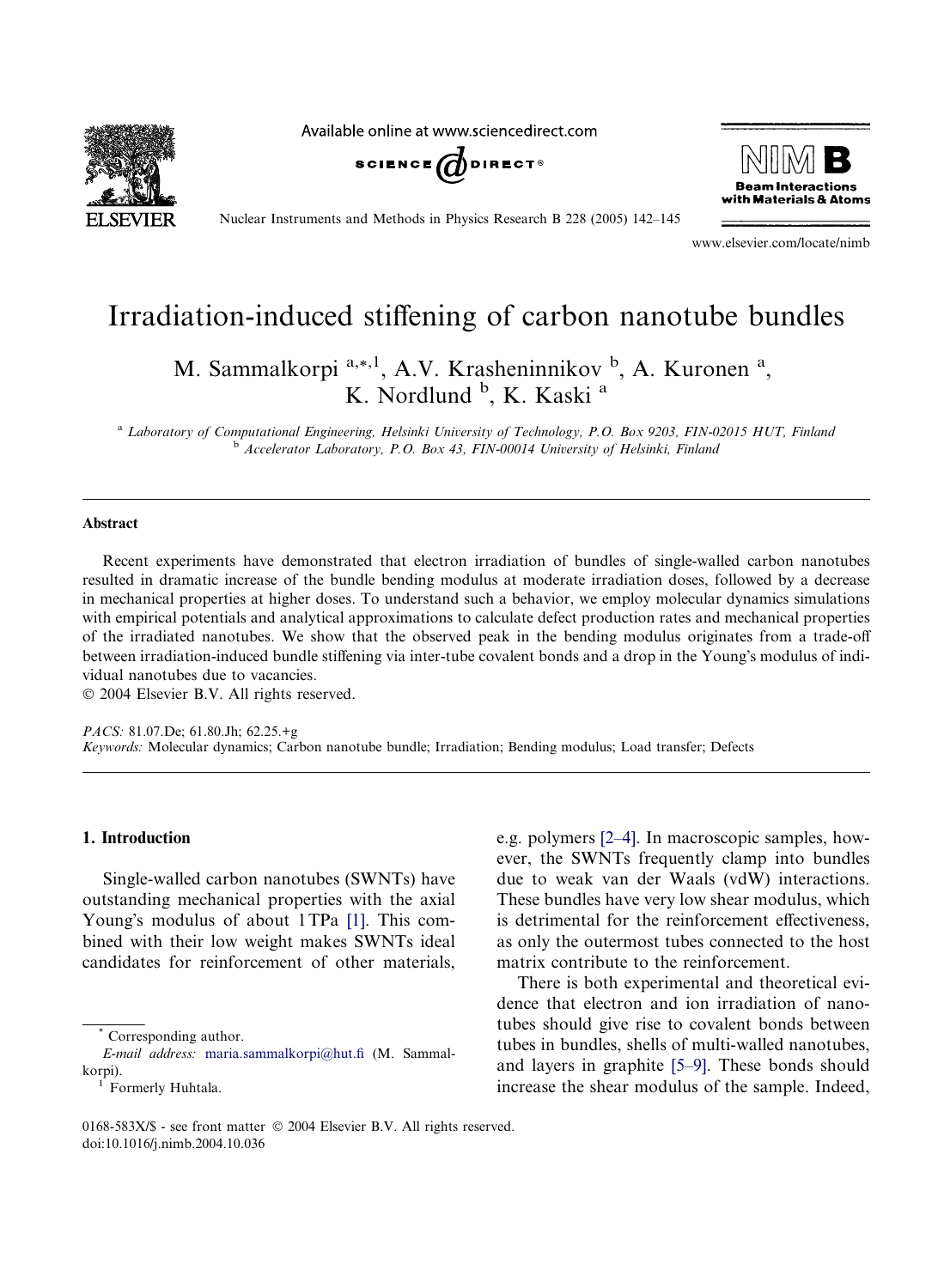**SEVIER** 

Available online at www.sciencedirect.com





Nuclear Instruments and Methods in Physics Research B 228 (2005) 142–145

www.elsevier.com/locate/nimb

# Irradiation-induced stiffening of carbon nanotube bundles

M. Sammalkorpi<sup>a,\*,1</sup>, A.V. Krasheninnikov <sup>b</sup>, A. Kuronen<sup>a</sup>, K. Nordlund <sup>b</sup>, K. Kaski<sup>a</sup>

<sup>a</sup> Laboratory of Computational Engineering, Helsinki University of Technology, P.O. Box 9203, FIN-02015 HUT, Finland <sup>b</sup> Accelerator Laboratory, P.O. Box 43, FIN-00014 University of Helsinki, Finland

#### Abstract

Recent experiments have demonstrated that electron irradiation of bundles of single-walled carbon nanotubes resulted in dramatic increase of the bundle bending modulus at moderate irradiation doses, followed by a decrease in mechanical properties at higher doses. To understand such a behavior, we employ molecular dynamics simulations with empirical potentials and analytical approximations to calculate defect production rates and mechanical properties of the irradiated nanotubes. We show that the observed peak in the bending modulus originates from a trade-off between irradiation-induced bundle stiffening via inter-tube covalent bonds and a drop in the Young's modulus of individual nanotubes due to vacancies.

2004 Elsevier B.V. All rights reserved.

PACS: 81.07.De; 61.80.Jh; 62.25.+g Keywords: Molecular dynamics; Carbon nanotube bundle; Irradiation; Bending modulus; Load transfer; Defects

## 1. Introduction

Single-walled carbon nanotubes (SWNTs) have outstanding mechanical properties with the axial Young's modulus of about 1TPa [\[1\].](#page-3-0) This combined with their low weight makes SWNTs ideal candidates for reinforcement of other materials,

\* Corresponding author.

e.g. polymers [\[2–4\].](#page-3-0) In macroscopic samples, however, the SWNTs frequently clamp into bundles due to weak van der Waals (vdW) interactions. These bundles have very low shear modulus, which is detrimental for the reinforcement effectiveness, as only the outermost tubes connected to the host matrix contribute to the reinforcement.

There is both experimental and theoretical evidence that electron and ion irradiation of nanotubes should give rise to covalent bonds between tubes in bundles, shells of multi-walled nanotubes, and layers in graphite [\[5–9\].](#page-3-0) These bonds should increase the shear modulus of the sample. Indeed,

E-mail address: [maria.sammalkorpi@hut.fi](mailto:maria.sammalkorpi@hut.fi ) (M. Sammalkorpi).<br><sup>1</sup> Formerly Huhtala.

<sup>0168-583</sup>X/\$ - see front matter © 2004 Elsevier B.V. All rights reserved. doi:10.1016/j.nimb.2004.10.036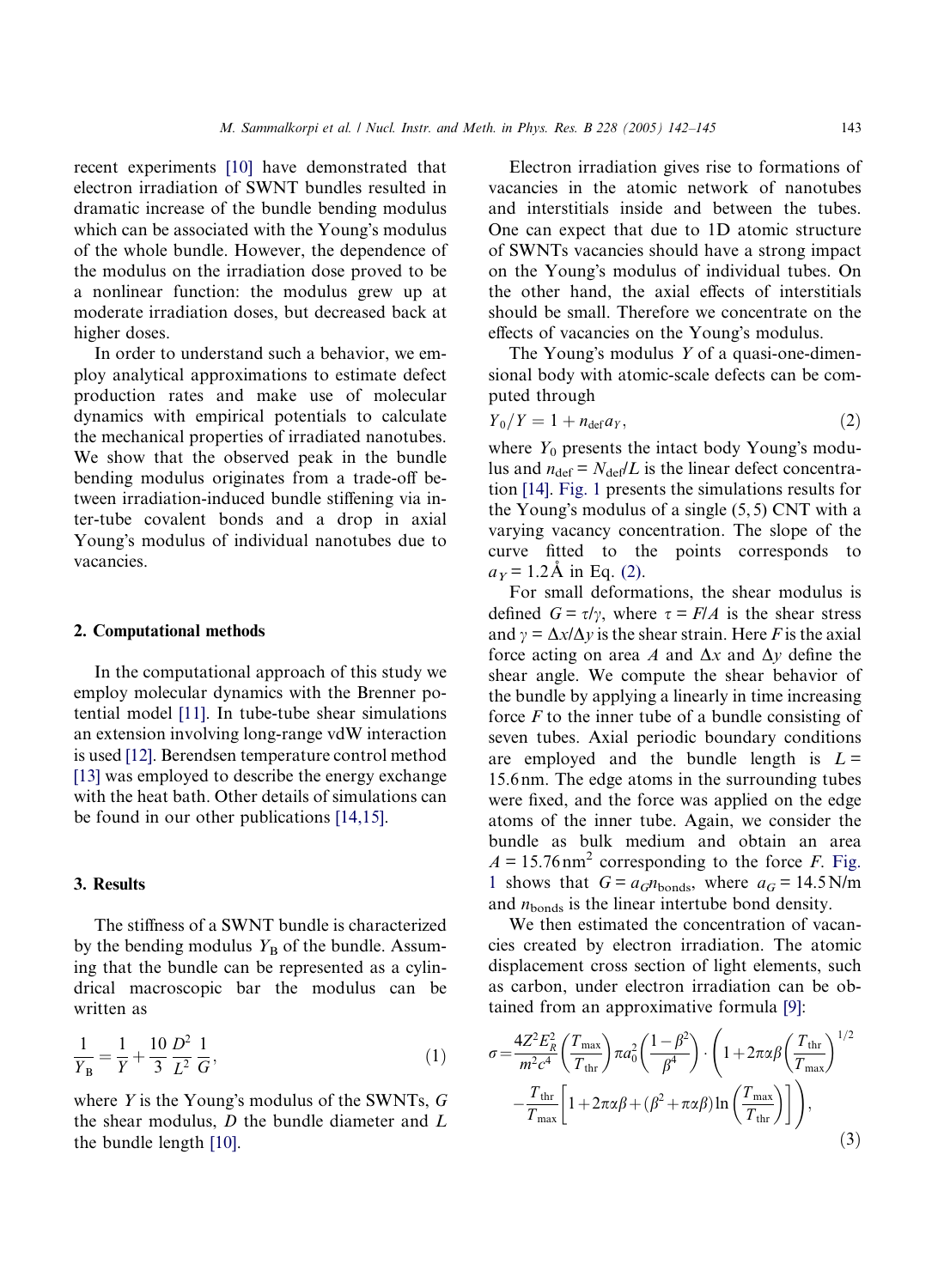<span id="page-1-0"></span>recent experiments [\[10\]](#page-3-0) have demonstrated that electron irradiation of SWNT bundles resulted in dramatic increase of the bundle bending modulus which can be associated with the Young's modulus of the whole bundle. However, the dependence of the modulus on the irradiation dose proved to be a nonlinear function: the modulus grew up at moderate irradiation doses, but decreased back at higher doses.

In order to understand such a behavior, we employ analytical approximations to estimate defect production rates and make use of molecular dynamics with empirical potentials to calculate the mechanical properties of irradiated nanotubes. We show that the observed peak in the bundle bending modulus originates from a trade-off between irradiation-induced bundle stiffening via inter-tube covalent bonds and a drop in axial Young's modulus of individual nanotubes due to vacancies.

## 2. Computational methods

In the computational approach of this study we employ molecular dynamics with the Brenner potential model [\[11\].](#page-3-0) In tube-tube shear simulations an extension involving long-range vdW interaction is used [\[12\].](#page-3-0) Berendsen temperature control method [\[13\]](#page-3-0) was employed to describe the energy exchange with the heat bath. Other details of simulations can be found in our other publications [\[14,15\].](#page-3-0)

## 3. Results

The stiffness of a SWNT bundle is characterized by the bending modulus  $Y_B$  of the bundle. Assuming that the bundle can be represented as a cylindrical macroscopic bar the modulus can be written as

$$
\frac{1}{Y_{\rm B}} = \frac{1}{Y} + \frac{10}{3} \frac{D^2}{L^2} \frac{1}{G},\tag{1}
$$

where  $Y$  is the Young's modulus of the SWNTs,  $G$ the shear modulus,  $D$  the bundle diameter and  $L$ the bundle length [\[10\].](#page-3-0)

Electron irradiation gives rise to formations of vacancies in the atomic network of nanotubes and interstitials inside and between the tubes. One can expect that due to 1D atomic structure of SWNTs vacancies should have a strong impact on the Young's modulus of individual tubes. On the other hand, the axial effects of interstitials should be small. Therefore we concentrate on the effects of vacancies on the Young's modulus.

The Young's modulus  $Y$  of a quasi-one-dimensional body with atomic-scale defects can be computed through

$$
Y_0/Y = 1 + n_{\text{def}}a_Y,\tag{2}
$$

where  $Y_0$  presents the intact body Young's modulus and  $n_{\text{def}} = N_{\text{def}}/L$  is the linear defect concentration [\[14\].](#page-3-0) [Fig. 1](#page-2-0) presents the simulations results for the Young's modulus of a single  $(5, 5)$  CNT with a varying vacancy concentration. The slope of the curve fitted to the points corresponds to  $a_y = 1.2$ Å in Eq. (2).

For small deformations, the shear modulus is defined  $G = \tau/\gamma$ , where  $\tau = F/A$  is the shear stress and  $\gamma = \Delta x / \Delta y$  is the shear strain. Here F is the axial force acting on area A and  $\Delta x$  and  $\Delta y$  define the shear angle. We compute the shear behavior of the bundle by applying a linearly in time increasing force  $F$  to the inner tube of a bundle consisting of seven tubes. Axial periodic boundary conditions are employed and the bundle length is  $L =$ 15.6 nm. The edge atoms in the surrounding tubes were fixed, and the force was applied on the edge atoms of the inner tube. Again, we consider the bundle as bulk medium and obtain an area  $A = 15.76$  nm<sup>2</sup> corresponding to the force *F*. [Fig.](#page-2-0) [1](#page-2-0) shows that  $G = a_G n_{\text{bonds}}$ , where  $a_G = 14.5 \text{ N/m}$ and  $n_{\text{bonds}}$  is the linear intertube bond density.

We then estimated the concentration of vacancies created by electron irradiation. The atomic displacement cross section of light elements, such as carbon, under electron irradiation can be obtained from an approximative formula [\[9\]](#page-3-0):

$$
\sigma = \frac{4Z^2 E_R^2}{m^2 c^4} \left(\frac{T_{\text{max}}}{T_{\text{thr}}}\right) \pi a_0^2 \left(\frac{1-\beta^2}{\beta^4}\right) \cdot \left(1 + 2\pi\alpha\beta \left(\frac{T_{\text{thr}}}{T_{\text{max}}}\right)^{1/2} - \frac{T_{\text{thr}}}{T_{\text{max}}} \left[1 + 2\pi\alpha\beta + (\beta^2 + \pi\alpha\beta)\ln\left(\frac{T_{\text{max}}}{T_{\text{thr}}}\right)\right]\right),\tag{3}
$$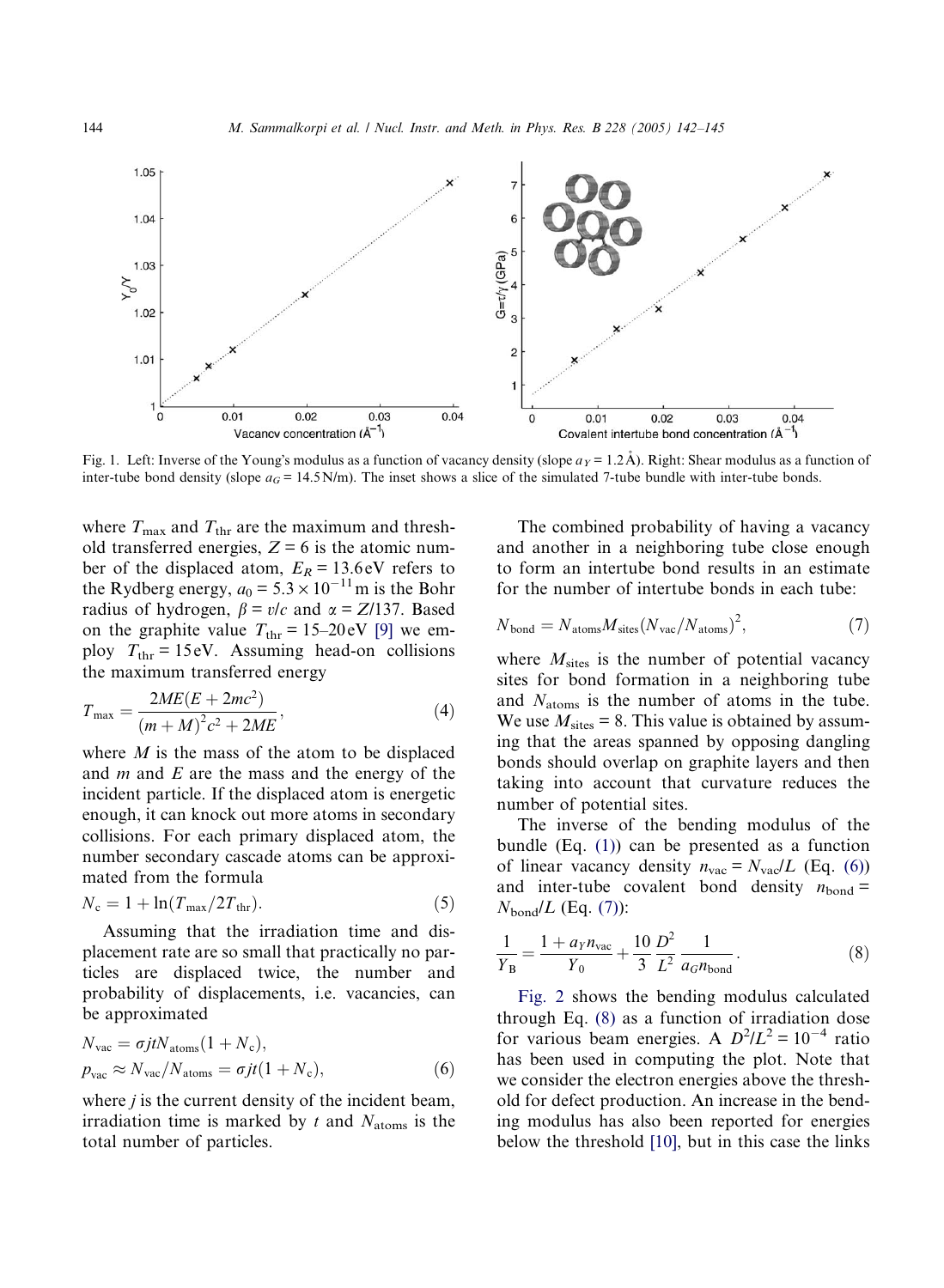<span id="page-2-0"></span>

Fig. 1. Left: Inverse of the Young's modulus as a function of vacancy density (slope  $a<sub>Y</sub> = 1.2$ Å). Right: Shear modulus as a function of inter-tube bond density (slope  $a_G = 14.5$  N/m). The inset shows a slice of the simulated 7-tube bundle with inter-tube bonds.

where  $T_{\text{max}}$  and  $T_{\text{thr}}$  are the maximum and threshold transferred energies,  $Z = 6$  is the atomic number of the displaced atom,  $E_R = 13.6 \text{ eV}$  refers to the Rydberg energy,  $a_0 = 5.3 \times 10^{-11}$  m is the Bohr radius of hydrogen,  $\beta = v/c$  and  $\alpha = Z/137$ . Based on the graphite value  $T_{\text{thr}} = 15-20 \text{ eV}$  [\[9\]](#page-3-0) we employ  $T_{\text{thr}} = 15 \text{ eV}$ . Assuming head-on collisions the maximum transferred energy

$$
T_{\text{max}} = \frac{2ME(E + 2mc^2)}{(m + M)^2 c^2 + 2ME},\tag{4}
$$

where  $M$  is the mass of the atom to be displaced and  $m$  and  $E$  are the mass and the energy of the incident particle. If the displaced atom is energetic enough, it can knock out more atoms in secondary collisions. For each primary displaced atom, the number secondary cascade atoms can be approximated from the formula

$$
N_{\rm c} = 1 + \ln(T_{\rm max}/2T_{\rm thr}).\tag{5}
$$

Assuming that the irradiation time and displacement rate are so small that practically no particles are displaced twice, the number and probability of displacements, i.e. vacancies, can be approximated

$$
N_{\text{vac}} = \sigma j t N_{\text{atoms}} (1 + N_{\text{c}}),
$$
  
\n
$$
p_{\text{vac}} \approx N_{\text{vac}} / N_{\text{atoms}} = \sigma j t (1 + N_{\text{c}}),
$$
\n(6)

where  $j$  is the current density of the incident beam, irradiation time is marked by t and  $N_{\text{atoms}}$  is the total number of particles.

The combined probability of having a vacancy and another in a neighboring tube close enough to form an intertube bond results in an estimate for the number of intertube bonds in each tube:

$$
N_{\text{bond}} = N_{\text{atoms}} M_{\text{sites}} (N_{\text{vac}} / N_{\text{atoms}})^2,\tag{7}
$$

where  $M<sub>sites</sub>$  is the number of potential vacancy sites for bond formation in a neighboring tube and  $N_{\text{atoms}}$  is the number of atoms in the tube. We use  $M_{\text{sites}} = 8$ . This value is obtained by assuming that the areas spanned by opposing dangling bonds should overlap on graphite layers and then taking into account that curvature reduces the number of potential sites.

The inverse of the bending modulus of the bundle (Eq. [\(1\)\)](#page-1-0) can be presented as a function of linear vacancy density  $n_{\text{vac}} = N_{\text{vac}}/L$  (Eq. (6)) and inter-tube covalent bond density  $n_{\text{bond}} =$  $N_{\text{bond}}/L$  (Eq. (7)):

$$
\frac{1}{Y_{\rm B}} = \frac{1 + a_{Y} n_{\rm vac}}{Y_0} + \frac{10}{3} \frac{D^2}{L^2} \frac{1}{a_G n_{\rm bond}}.
$$
 (8)

[Fig. 2](#page-3-0) shows the bending modulus calculated through Eq. (8) as a function of irradiation dose for various beam energies. A  $D^2/L^2 = 10^{-4}$  ratio has been used in computing the plot. Note that we consider the electron energies above the threshold for defect production. An increase in the bending modulus has also been reported for energies below the threshold [\[10\]](#page-3-0), but in this case the links